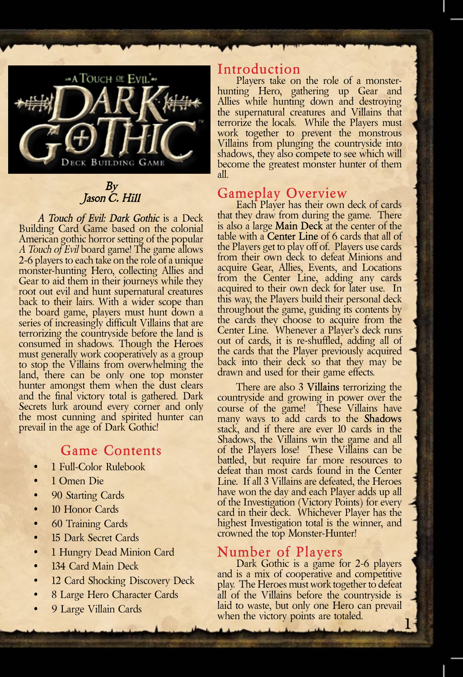

By Jason C. Hill

*A Touch of Evil: Dark Gothic* is a Deck Building Card Game based on the colonial American gothic horror setting of the popular *A Touch of Evil* board game! The game allows 2-6 players to each take on the role of a unique monster-hunting Hero, collecting Allies and Gear to aid them in their journeys while they root out evil and hunt supernatural creatures back to their lairs. With a wider scope than the board game, players must hunt down a series of increasingly difficult Villains that are terrorizing the countryside before the land is consumed in shadows. Though the Heroes must generally work cooperatively as a group to stop the Villains from overwhelming the land, there can be only one top monster hunter amongst them when the dust clears and the final victory total is gathered. Dark Secrets lurk around every corner and only the most cunning and spirited hunter can prevail in the age of Dark Gothic!

## **Game Contents**

- 1 Full-Color Rulebook
- 1 Omen Die
- 90 Starting Cards
- 10 Honor Cards
- 60 Training Cards
- 15 Dark Secret Cards
- 1 Hungry Dead Minion Card
- 134 Card Main Deck
- 12 Card Shocking Discovery Deck
- 8 Large Hero Character Cards
- 9 Large Villain Cards

### **Introduction**

Players take on the role of a monsterhunting Hero, gathering up Gear and Allies while hunting down and destroying the supernatural creatures and Villains that terrorize the locals. While the Players must work together to prevent the monstrous Villains from plunging the countryside into shadows, they also compete to see which will become the greatest monster hunter of them all.

# **Gameplay Overview**<br>Each Player has their own deck of cards

that they draw from during the game. There is also a large **Main Deck** at the center of the table with a **Center Line** of 6 cards that all of the Players get to play off of. Players use cards from their own deck to defeat Minions and acquire Gear, Allies, Events, and Locations from the Center Line, adding any cards acquired to their own deck for later use. In this way, the Players build their personal deck throughout the game, guiding its contents by the cards they choose to acquire from the Center Line. Whenever a Player's deck runs out of cards, it is re-shuffled, adding all of the cards that the Player previously acquired back into their deck so that they may be drawn and used for their game effects.

There are also 3 **Villains** terrorizing the countryside and growing in power over the course of the game! These Villains have many ways to add cards to the **Shadows** stack, and if there are ever 10 cards in the Shadows, the Villains win the game and all of the Players lose! These Villains can be battled, but require far more resources to defeat than most cards found in the Center Line. If all 3 Villains are defeated, the Heroes have won the day and each Player adds up all of the Investigation (Victory Points) for every card in their deck. Whichever Player has the highest Investigation total is the winner, and crowned the top Monster-Hunter!

# **Number of Players**<br>Dark Gothic is a game for 2-6 players

and is a mix of cooperative and competitive play. The Heroes must work together to defeat all of the Villains before the countryside is laid to waste, but only one Hero can prevail when the victory points are totaled.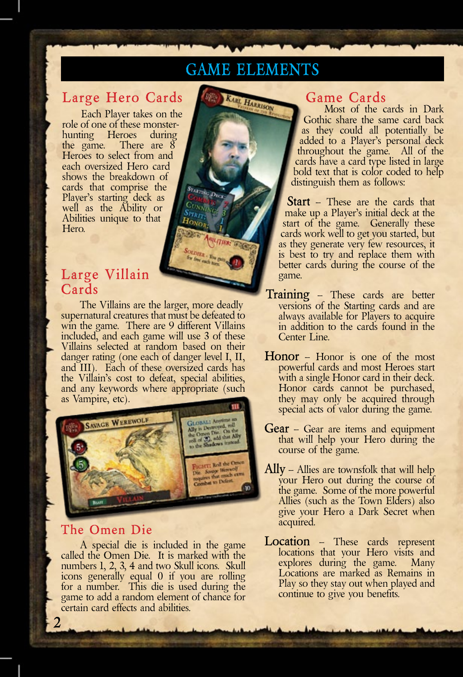# **Game Elements**

KARE HARRISON

# **Large Hero Cards**

Each Player takes on the role of one of these monsterhunting Heroes during the game. There are 8 Heroes to select from and each oversized Hero card shows the breakdown of cards that comprise the Player's starting deck as well as the Ability or Abilities unique to that Hero.

# **Large Villain Cards**

The Villains are the larger, more deadly supernatural creatures that must be defeated to win the game. There are 9 different Villains included, and each game will use 3 of these Villains selected at random based on their danger rating (one each of danger level I, II, and III). Each of these oversized cards has the Villain's cost to defeat, special abilities, and any keywords where appropriate (such as Vampire, etc).

 $H_{\rm ON}$ 

**SOEDIER - Energy** 



## **The Omen Die**

**2**

A special die is included in the game called the Omen Die. It is marked with the numbers 1, 2, 3, 4 and two Skull icons. Skull icons generally equal 0 if you are rolling for a number. This die is used during the game to add a random element of chance for certain card effects and abilities.

# **Game Cards**

Most of the cards in Dark Gothic share the same card back as they could all potentially be added to a Player's personal deck throughout the game. All of the cards have a card type listed in large bold text that is color coded to help distinguish them as follows:

**Start** – These are the cards that make up a Player's initial deck at the start of the game. Generally these cards work well to get you started, but as they generate very few resources, it is best to try and replace them with better cards during the course of the game.

- **Training** These cards are better versions of the Starting cards and are always available for Players to acquire in addition to the cards found in the Center Line.
- **Honor** Honor is one of the most powerful cards and most Heroes start with a single Honor card in their deck. Honor cards cannot be purchased, they may only be acquired through special acts of valor during the game.
- **Gear** Gear are items and equipment that will help your Hero during the course of the game.
- **Ally** Allies are townsfolk that will help your Hero out during the course of the game. Some of the more powerful Allies (such as the Town Elders) also give your Hero a Dark Secret when acquired.
- **Location** These cards represent locations that your Hero visits and explores during the game. Many Locations are marked as Remains in Play so they stay out when played and continue to give you benefits.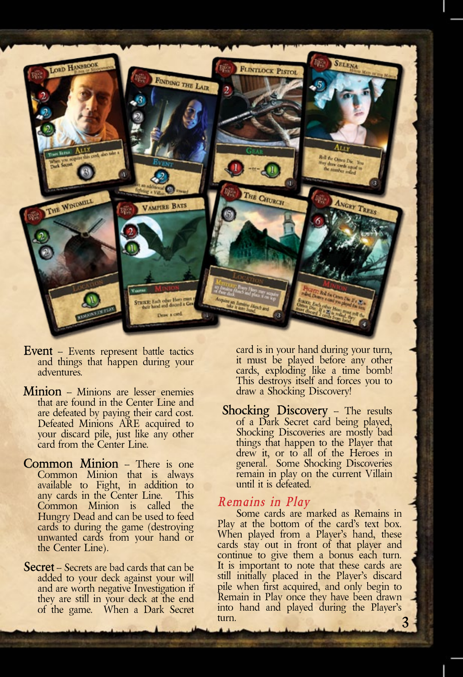

- **Event** Events represent battle tactics and things that happen during your adventures.
- **Minion** Minions are lesser enemies that are found in the Center Line and are defeated by paying their card cost. Defeated Minions ARE acquired to your discard pile, just like any other card from the Center Line.
- **Common Minion** There is one Common Minion that is always available to Fight, in addition to any cards in the Center Line. This Common Minion is called the Hungry Dead and can be used to feed cards to during the game (destroying unwanted cards from your hand or the Center Line).
- **Secret** Secrets are bad cards that can be added to your deck against your will and are worth negative Investigation if they are still in your deck at the end of the game. When a Dark Secret

card is in your hand during your turn, it must be played before any other cards, exploding like a time bomb! This destroys itself and forces you to draw a Shocking Discovery!

**Shocking Discovery** – The results of a Dark Secret card being played, Shocking Discoveries are mostly bad things that happen to the Player that drew it, or to all of the Heroes in general. Some Shocking Discoveries remain in play on the current Villain until it is defeated.

*Remains in Play*<br>Some cards are marked as Remains in Play at the bottom of the card's text box. When played from a Player's hand, these cards stay out in front of that player and continue to give them a bonus each turn. It is important to note that these cards are still initially placed in the Player's discard pile when first acquired, and only begin to Remain in Play once they have been drawn into hand and played during the Player's turn.  $\frac{3}{4}$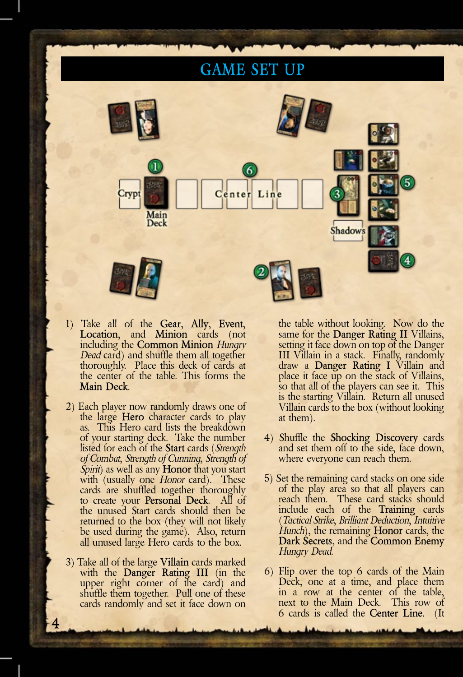# **GAME SET**



- 1) Take all of the **Gear**, **Ally**, **Event**, **Location**, and **Minion** cards (not including the **Common Minion** *Hungry Dead* card) and shuffle them all together thoroughly. Place this deck of cards at the center of the table. This forms the **Main Deck**.
- 2) Each player now randomly draws one of the large **Hero** character cards to play as. This Hero card lists the breakdown of your starting deck. Take the number<br>listed for each of the **Start** cards (*Strength* of Combat, Strength of Cunning, Strength of<br>Spirit) as well as any **Honor** that you start<br>with (usually one *Honor* card). These<br>cards are shuffled together thoroughly to create your **Personal Deck**. All of the unused Start cards should then be returned to the box (they will not likely be used during the game). Also, return all unused large Hero cards to the box.
- 3) Take all of the large **Villain** cards marked with the **Danger Rating III** (in the upper right corner of the card) and shuffle them together. Pull one of these cards randomly and set it face down on

**4**

the table without looking. Now do the same for the **Danger Rating II** Villains, setting it face down on top of the Danger III Villain in a stack. Finally, randomly draw a **Danger Rating I** Villain and place it face up on the stack of Villains, so that all of the players can see it. This is the starting Villain. Return all unused Villain cards to the box (without looking at them).

- 4) Shuffle the **Shocking Discovery** cards and set them off to the side, face down, where everyone can reach them.
- 5) Set the remaining card stacks on one side of the play area so that all players can reach them. These card stacks should include each of the **Training** cards (*Tactical Strike*, *Brilliant Deduction*, *Intuitive Hunch*), the remaining **Honor** cards, the **Dark Secrets**, and the **Common Enemy** *Hungry Dead*.
- 6) Flip over the top 6 cards of the Main Deck, one at a time, and place them in a row at the center of the table, next to the Main Deck. This row of 6 cards is called the **Center Line**. (It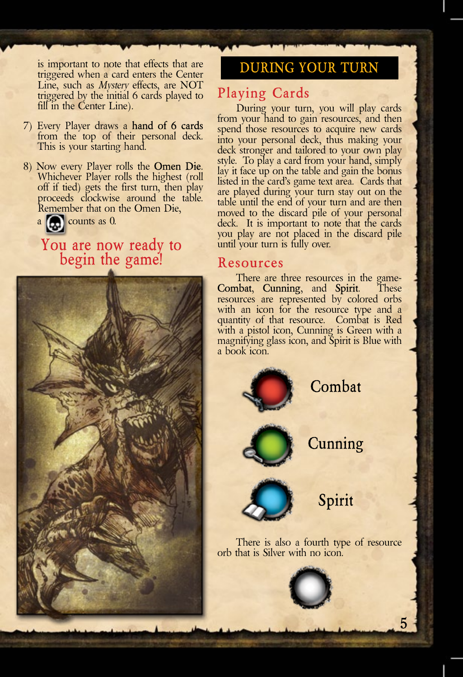is important to note that effects that are triggered when a card enters the Center Line, such as *Mystery* effects, are NOT triggered by the initial 6 cards played to fill in the Center Line).

- 7) Every Player draws a **hand of 6 cards** from the top of their personal deck. This is your starting hand.
- 8) Now every Player rolls the **Omen Die**. Whichever Player rolls the highest (roll off if tied) gets the first turn, then play proceeds clockwise around the table. Remember that on the Omen Die,
	- $a$   $\alpha$  counts as 0.

# **You are now ready to begin the game!**



**During Your Turn**

# **Playing Cards**

During your turn, you will play cards from your hand to gain resources, and then spend those resources to acquire new cards into your personal deck, thus making your deck stronger and tailored to your own play style. To play a card from your hand, simply lay it face up on the table and gain the bonus listed in the card's game text area. Cards that are played during your turn stay out on the table until the end of your turn and are then moved to the discard pile of your personal deck. It is important to note that the cards you play are not placed in the discard pile until your turn is fully over.

### **Resources**

There are three resources in the game- **Combat**, **Cunning**, and **Spirit**. These resources are represented by colored orbs with an icon for the resource type and a quantity of that resource. Combat is Red with a pistol icon, Cunning is Green with a magnifying glass icon, and Spirit is Blue with a book icon.

**Combat**

**Cunning**

**Spirit**

**5**

There is also a fourth type of resource

orb that is Silver with no icon.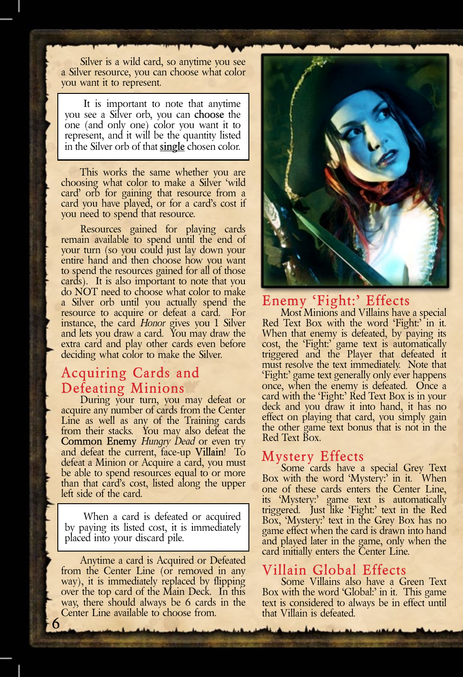Silver is a wild card, so anytime you see a Silver resource, you can choose what color you want it to represent.

It is important to note that anytime you see a Silver orb, you can **choose** the one (and only one) color you want it to represent, and it will be the quantity listed in the Silver orb of that **single** chosen color.

This works the same whether you are choosing what color to make a Silver 'wild card' orb for gaining that resource from a card you have played, or for a card's cost if you need to spend that resource.

Resources gained for playing cards remain available to spend until the end of your turn (so you could just lay down your entire hand and then choose how you want to spend the resources gained for all of those cards). It is also important to note that you do NOT need to choose what color to make a Silver orb until you actually spend the resource to acquire or defeat a card. For instance, the card *Honor* gives you 1 Silver and lets you draw a card. You may draw the extra card and play other cards even before deciding what color to make the Silver.

# **Acquiring Cards and**

**Defeating Minions**<br>During your turn, you may defeat or<br>acquire any number of cards from the Center Line as well as any of the Training cards from their stacks. You may also defeat the **Common Enemy** *Hungry Dead* or even try and defeat the current, face-up **Villain**! To defeat a Minion or Acquire a card, you must be able to spend resources equal to or more than that card's cost, listed along the upper left side of the card.

When a card is defeated or acquired by paying its listed cost, it is immediately placed into your discard pile.

Anytime a card is Acquired or Defeated from the Center Line (or removed in any way), it is immediately replaced by flipping over the top card of the Main Deck. In this way, there should always be 6 cards in the Center Line available to choose from.

**6**



### **Enemy 'Fight:' Effects**

Most Minions and Villains have a special Red Text Box with the word 'Fight:' in it. When that enemy is defeated, by paying its cost, the 'Fight:' game text is automatically triggered and the Player that defeated it must resolve the text immediately. Note that 'Fight:' game text generally only ever happens once, when the enemy is defeated. Once a card with the 'Fight:' Red Text Box is in your deck and you draw it into hand, it has no effect on playing that card, you simply gain the other game text bonus that is not in the Red Text Box.

### **Mystery Effects**

Some cards have a special Grey Text Box with the word 'Mystery:' in it. When one of these cards enters the Center Line, its 'Mystery:' game text is automatically triggered. Just like 'Fight:' text in the Red Box, 'Mystery:' text in the Grey Box has no game effect when the card is drawn into hand and played later in the game, only when the card initially enters the Center Line.

## **Villain Global Effects**

Some Villains also have a Green Text Box with the word 'Global:' in it. This game text is considered to always be in effect until that Villain is defeated.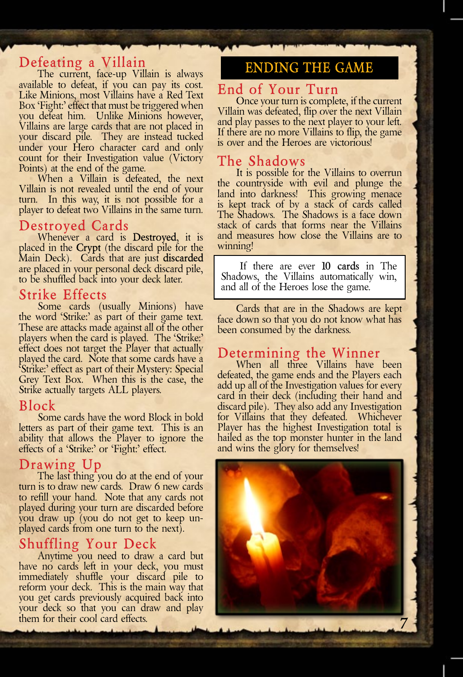**Defeating a Villain**<br>The current, face-up Villain is always available to defeat, if you can pay its cost. Like Minions, most Villains have a Red Text Box 'Fight:' effect that must be triggered when you defeat him. Unlike Minions however, Villains are large cards that are not placed in your discard pile. They are instead tucked under your Hero character card and only count for their Investigation value (Victory Points) at the end of the game.

When a Villain is defeated, the next Villain is not revealed until the end of your turn. In this way, it is not possible for a player to defeat two Villains in the same turn.

**Destroyed Cards** Whenever a card is **Destroyed**, it is placed in the **Crypt** (the discard pile for the Main Deck). Cards that are just **discarded**  are placed in your personal deck discard pile, to be shuffled back into your deck later.

**Strike Effects**<br>Some cards (usually Minions) have the word 'Strike:' as part of their game text. These are attacks made against all of the other players when the card is played. The 'Strike:' effect does not target the Player that actually played the card. Note that some cards have a 'Strike:' effect as part of their Mystery: Special Grey Text Box. When this is the case, the Strike actually targets ALL players.

### **Block**

Some cards have the word Block in bold letters as part of their game text. This is an ability that allows the Player to ignore the effects of a 'Strike:' or 'Fight:' effect.

**Drawing Up**<br>The last thing you do at the end of your<br>turn is to draw new cards. Draw 6 new cards to refill your hand. Note that any cards not played during your turn are discarded before you draw up (you do not get to keep unplayed cards from one turn to the next).

**Shuffling Your Deck**<br>Anytime you need to draw a card but have no cards left in your deck, you must immediately shuffle your discard pile to reform your deck. This is the main way that you get cards previously acquired back into your deck so that you can draw and play them for their cool card effects.

# **Ending the Game**

### **End of Your Turn**

Once your turn is complete, if the current Villain was defeated, flip over the next Villain and play passes to the next player to your left. If there are no more Villains to flip, the game is over and the Heroes are victorious!

### **The Shadows**

It is possible for the Villains to overrun the countryside with evil and plunge the land into darkness! This growing menace is kept track of by a stack of cards called The Shadows. The Shadows is a face down stack of cards that forms near the Villains and measures how close the Villains are to winning!

If there are ever **10 cards** in The Shadows, the Villains automatically win, and all of the Heroes lose the game.

Cards that are in the Shadows are kept face down so that you do not know what has been consumed by the darkness.

**Determining the Winner** When all three Villains have been defeated, the game ends and the Players each add up all of the Investigation values for every card in their deck (including their hand and discard pile). They also add any Investigation for Villains that they defeated. Whichever Player has the highest Investigation total is hailed as the top monster hunter in the land and wins the glory for themselves!